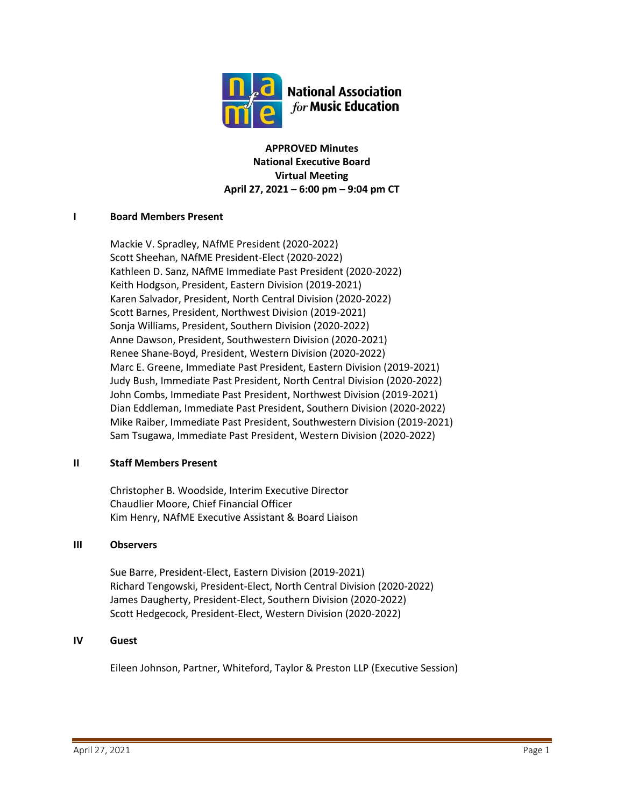

**APPROVED Minutes National Executive Board Virtual Meeting April 27, 2021 – 6:00 pm – 9:04 pm CT**

# **I Board Members Present**

Mackie V. Spradley, NAfME President (2020-2022) Scott Sheehan, NAfME President-Elect (2020-2022) Kathleen D. Sanz, NAfME Immediate Past President (2020-2022) Keith Hodgson, President, Eastern Division (2019-2021) Karen Salvador, President, North Central Division (2020-2022) Scott Barnes, President, Northwest Division (2019-2021) Sonja Williams, President, Southern Division (2020-2022) Anne Dawson, President, Southwestern Division (2020-2021) Renee Shane-Boyd, President, Western Division (2020-2022) Marc E. Greene, Immediate Past President, Eastern Division (2019-2021) Judy Bush, Immediate Past President, North Central Division (2020-2022) John Combs, Immediate Past President, Northwest Division (2019-2021) Dian Eddleman, Immediate Past President, Southern Division (2020-2022) Mike Raiber, Immediate Past President, Southwestern Division (2019-2021) Sam Tsugawa, Immediate Past President, Western Division (2020-2022)

# **II Staff Members Present**

Christopher B. Woodside, Interim Executive Director Chaudlier Moore, Chief Financial Officer Kim Henry, NAfME Executive Assistant & Board Liaison

# **III Observers**

Sue Barre, President-Elect, Eastern Division (2019-2021) Richard Tengowski, President-Elect, North Central Division (2020-2022) James Daugherty, President-Elect, Southern Division (2020-2022) Scott Hedgecock, President-Elect, Western Division (2020-2022)

# **IV Guest**

Eileen Johnson, Partner, Whiteford, Taylor & Preston LLP (Executive Session)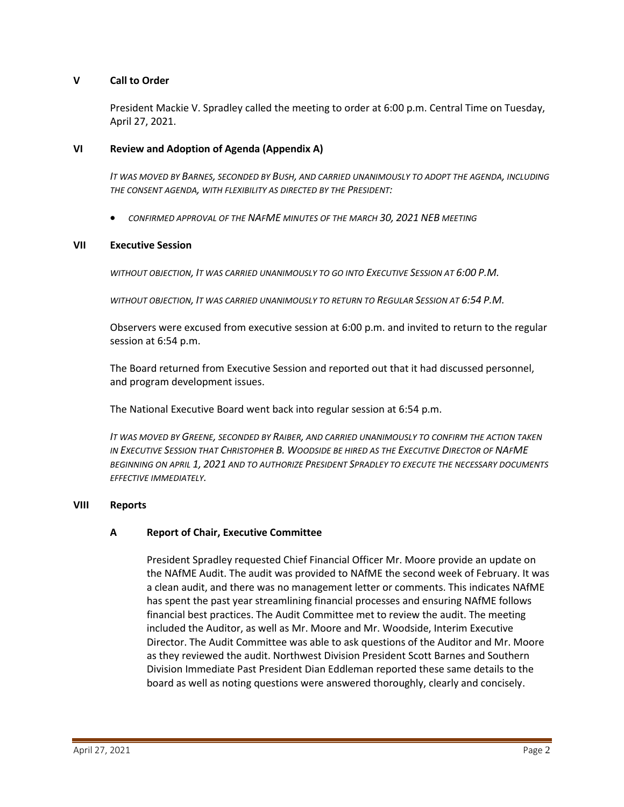# **V Call to Order**

President Mackie V. Spradley called the meeting to order at 6:00 p.m. Central Time on Tuesday, April 27, 2021.

### **VI Review and Adoption of Agenda (Appendix A)**

*IT WAS MOVED BY BARNES, SECONDED BY BUSH, AND CARRIED UNANIMOUSLY TO ADOPT THE AGENDA, INCLUDING THE CONSENT AGENDA, WITH FLEXIBILITY AS DIRECTED BY THE PRESIDENT:*

• *CONFIRMED APPROVAL OF THE NAFME MINUTES OF THE MARCH 30, 2021 NEB MEETING*

#### **VII Executive Session**

*WITHOUT OBJECTION, IT WAS CARRIED UNANIMOUSLY TO GO INTO EXECUTIVE SESSION AT 6:00 P.M.*

*WITHOUT OBJECTION, IT WAS CARRIED UNANIMOUSLY TO RETURN TO REGULAR SESSION AT 6:54 P.M.*

Observers were excused from executive session at 6:00 p.m. and invited to return to the regular session at 6:54 p.m.

The Board returned from Executive Session and reported out that it had discussed personnel, and program development issues.

The National Executive Board went back into regular session at 6:54 p.m.

*IT WAS MOVED BY GREENE, SECONDED BY RAIBER, AND CARRIED UNANIMOUSLY TO CONFIRM THE ACTION TAKEN IN EXECUTIVE SESSION THAT CHRISTOPHER B. WOODSIDE BE HIRED AS THE EXECUTIVE DIRECTOR OF NAFME BEGINNING ON APRIL 1, 2021 AND TO AUTHORIZE PRESIDENT SPRADLEY TO EXECUTE THE NECESSARY DOCUMENTS EFFECTIVE IMMEDIATELY.*

#### **VIII Reports**

# **A Report of Chair, Executive Committee**

President Spradley requested Chief Financial Officer Mr. Moore provide an update on the NAfME Audit. The audit was provided to NAfME the second week of February. It was a clean audit, and there was no management letter or comments. This indicates NAfME has spent the past year streamlining financial processes and ensuring NAfME follows financial best practices. The Audit Committee met to review the audit. The meeting included the Auditor, as well as Mr. Moore and Mr. Woodside, Interim Executive Director. The Audit Committee was able to ask questions of the Auditor and Mr. Moore as they reviewed the audit. Northwest Division President Scott Barnes and Southern Division Immediate Past President Dian Eddleman reported these same details to the board as well as noting questions were answered thoroughly, clearly and concisely.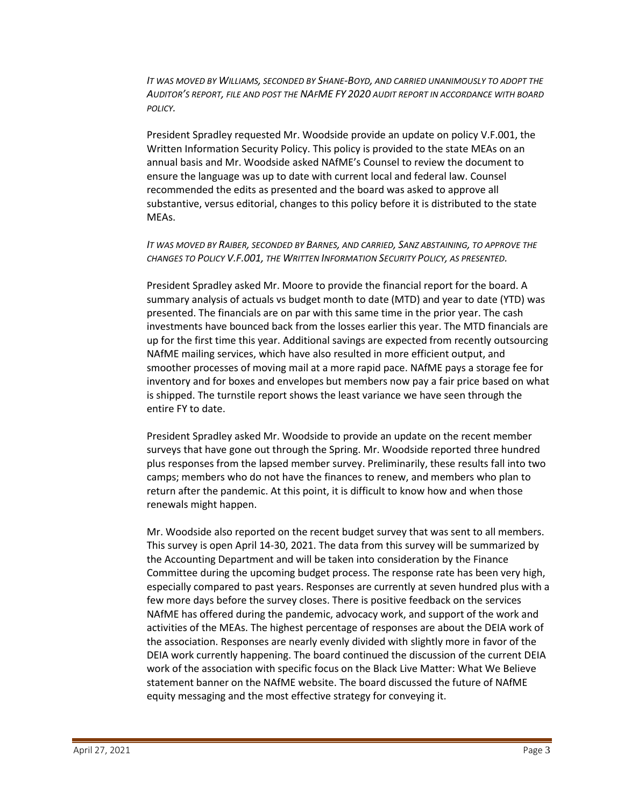*IT WAS MOVED BY WILLIAMS, SECONDED BY SHANE-BOYD, AND CARRIED UNANIMOUSLY TO ADOPT THE AUDITOR'S REPORT, FILE AND POST THE NAFME FY 2020 AUDIT REPORT IN ACCORDANCE WITH BOARD POLICY.*

President Spradley requested Mr. Woodside provide an update on policy V.F.001, the Written Information Security Policy. This policy is provided to the state MEAs on an annual basis and Mr. Woodside asked NAfME's Counsel to review the document to ensure the language was up to date with current local and federal law. Counsel recommended the edits as presented and the board was asked to approve all substantive, versus editorial, changes to this policy before it is distributed to the state MEAs.

# *IT WAS MOVED BY RAIBER, SECONDED BY BARNES, AND CARRIED, SANZ ABSTAINING, TO APPROVE THE CHANGES TO POLICY V.F.001, THE WRITTEN INFORMATION SECURITY POLICY, AS PRESENTED.*

President Spradley asked Mr. Moore to provide the financial report for the board. A summary analysis of actuals vs budget month to date (MTD) and year to date (YTD) was presented. The financials are on par with this same time in the prior year. The cash investments have bounced back from the losses earlier this year. The MTD financials are up for the first time this year. Additional savings are expected from recently outsourcing NAfME mailing services, which have also resulted in more efficient output, and smoother processes of moving mail at a more rapid pace. NAfME pays a storage fee for inventory and for boxes and envelopes but members now pay a fair price based on what is shipped. The turnstile report shows the least variance we have seen through the entire FY to date.

President Spradley asked Mr. Woodside to provide an update on the recent member surveys that have gone out through the Spring. Mr. Woodside reported three hundred plus responses from the lapsed member survey. Preliminarily, these results fall into two camps; members who do not have the finances to renew, and members who plan to return after the pandemic. At this point, it is difficult to know how and when those renewals might happen.

Mr. Woodside also reported on the recent budget survey that was sent to all members. This survey is open April 14-30, 2021. The data from this survey will be summarized by the Accounting Department and will be taken into consideration by the Finance Committee during the upcoming budget process. The response rate has been very high, especially compared to past years. Responses are currently at seven hundred plus with a few more days before the survey closes. There is positive feedback on the services NAfME has offered during the pandemic, advocacy work, and support of the work and activities of the MEAs. The highest percentage of responses are about the DEIA work of the association. Responses are nearly evenly divided with slightly more in favor of the DEIA work currently happening. The board continued the discussion of the current DEIA work of the association with specific focus on the Black Live Matter: What We Believe statement banner on the NAfME website. The board discussed the future of NAfME equity messaging and the most effective strategy for conveying it.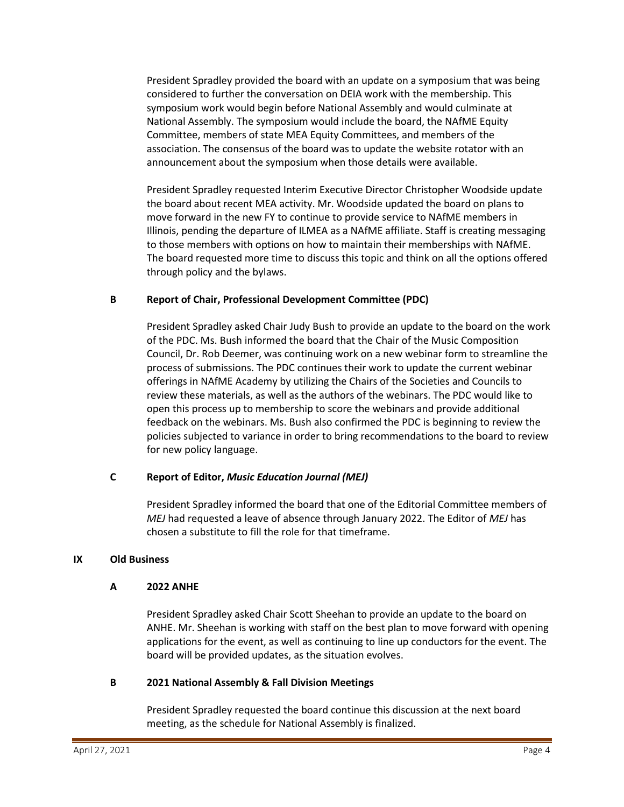President Spradley provided the board with an update on a symposium that was being considered to further the conversation on DEIA work with the membership. This symposium work would begin before National Assembly and would culminate at National Assembly. The symposium would include the board, the NAfME Equity Committee, members of state MEA Equity Committees, and members of the association. The consensus of the board was to update the website rotator with an announcement about the symposium when those details were available.

President Spradley requested Interim Executive Director Christopher Woodside update the board about recent MEA activity. Mr. Woodside updated the board on plans to move forward in the new FY to continue to provide service to NAfME members in Illinois, pending the departure of ILMEA as a NAfME affiliate. Staff is creating messaging to those members with options on how to maintain their memberships with NAfME. The board requested more time to discuss this topic and think on all the options offered through policy and the bylaws.

# **B Report of Chair, Professional Development Committee (PDC)**

President Spradley asked Chair Judy Bush to provide an update to the board on the work of the PDC. Ms. Bush informed the board that the Chair of the Music Composition Council, Dr. Rob Deemer, was continuing work on a new webinar form to streamline the process of submissions. The PDC continues their work to update the current webinar offerings in NAfME Academy by utilizing the Chairs of the Societies and Councils to review these materials, as well as the authors of the webinars. The PDC would like to open this process up to membership to score the webinars and provide additional feedback on the webinars. Ms. Bush also confirmed the PDC is beginning to review the policies subjected to variance in order to bring recommendations to the board to review for new policy language.

# **C Report of Editor,** *Music Education Journal (MEJ)*

President Spradley informed the board that one of the Editorial Committee members of *MEJ* had requested a leave of absence through January 2022. The Editor of *MEJ* has chosen a substitute to fill the role for that timeframe.

# **IX Old Business**

# **A 2022 ANHE**

President Spradley asked Chair Scott Sheehan to provide an update to the board on ANHE. Mr. Sheehan is working with staff on the best plan to move forward with opening applications for the event, as well as continuing to line up conductors for the event. The board will be provided updates, as the situation evolves.

# **B 2021 National Assembly & Fall Division Meetings**

President Spradley requested the board continue this discussion at the next board meeting, as the schedule for National Assembly is finalized.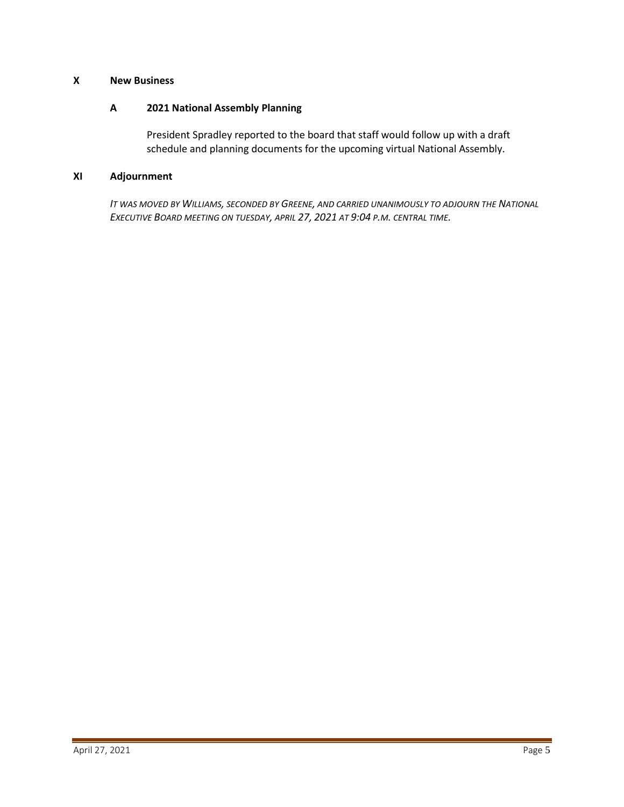# **X New Business**

#### **A 2021 National Assembly Planning**

President Spradley reported to the board that staff would follow up with a draft schedule and planning documents for the upcoming virtual National Assembly.

# **XI Adjournment**

*IT WAS MOVED BY WILLIAMS, SECONDED BY GREENE, AND CARRIED UNANIMOUSLY TO ADJOURN THE NATIONAL EXECUTIVE BOARD MEETING ON TUESDAY, APRIL 27, 2021 AT 9:04 P.M. CENTRAL TIME.*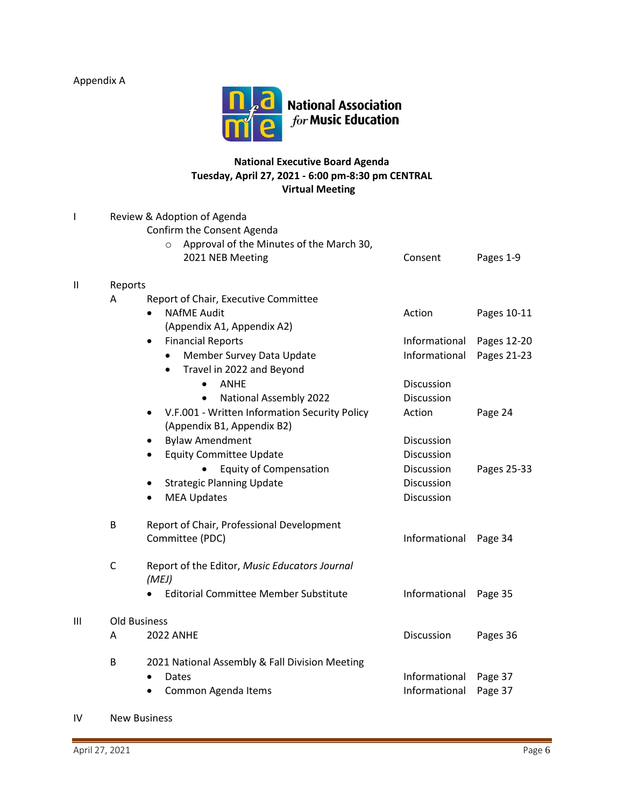Appendix A



# **National Executive Board Agenda Tuesday, April 27, 2021 - 6:00 pm-8:30 pm CENTRAL Virtual Meeting**

| ı             | Review & Adoption of Agenda |                                                            |               |             |
|---------------|-----------------------------|------------------------------------------------------------|---------------|-------------|
|               | Confirm the Consent Agenda  |                                                            |               |             |
|               |                             | Approval of the Minutes of the March 30,<br>$\circ$        |               |             |
|               |                             | 2021 NEB Meeting                                           | Consent       | Pages 1-9   |
| $\mathbf{II}$ | Reports                     |                                                            |               |             |
|               | A                           | Report of Chair, Executive Committee                       |               |             |
|               |                             | <b>NAfME Audit</b>                                         | Action        | Pages 10-11 |
|               |                             | (Appendix A1, Appendix A2)                                 |               |             |
|               |                             | <b>Financial Reports</b><br>$\bullet$                      | Informational | Pages 12-20 |
|               |                             | Member Survey Data Update<br>$\bullet$                     | Informational | Pages 21-23 |
|               |                             | Travel in 2022 and Beyond<br>$\bullet$                     |               |             |
|               |                             | <b>ANHE</b>                                                | Discussion    |             |
|               |                             | <b>National Assembly 2022</b>                              | Discussion    |             |
|               |                             | V.F.001 - Written Information Security Policy<br>$\bullet$ | Action        | Page 24     |
|               |                             | (Appendix B1, Appendix B2)                                 |               |             |
|               |                             | <b>Bylaw Amendment</b><br>$\bullet$                        | Discussion    |             |
|               |                             | <b>Equity Committee Update</b><br>$\bullet$                | Discussion    |             |
|               |                             | <b>Equity of Compensation</b>                              | Discussion    | Pages 25-33 |
|               |                             | <b>Strategic Planning Update</b>                           | Discussion    |             |
|               |                             | <b>MEA Updates</b><br>$\bullet$                            | Discussion    |             |
|               | В                           | Report of Chair, Professional Development                  |               |             |
|               |                             | Committee (PDC)                                            | Informational | Page 34     |
|               | $\mathsf{C}$                | Report of the Editor, Music Educators Journal<br>(MEJ)     |               |             |
|               |                             | <b>Editorial Committee Member Substitute</b>               | Informational | Page 35     |
| III           | <b>Old Business</b>         |                                                            |               |             |
|               | A                           | <b>2022 ANHE</b>                                           | Discussion    | Pages 36    |
|               | B                           | 2021 National Assembly & Fall Division Meeting<br>Dates    | Informational | Page 37     |
|               |                             | Common Agenda Items                                        | Informational | Page 37     |
|               |                             |                                                            |               |             |

IV New Business